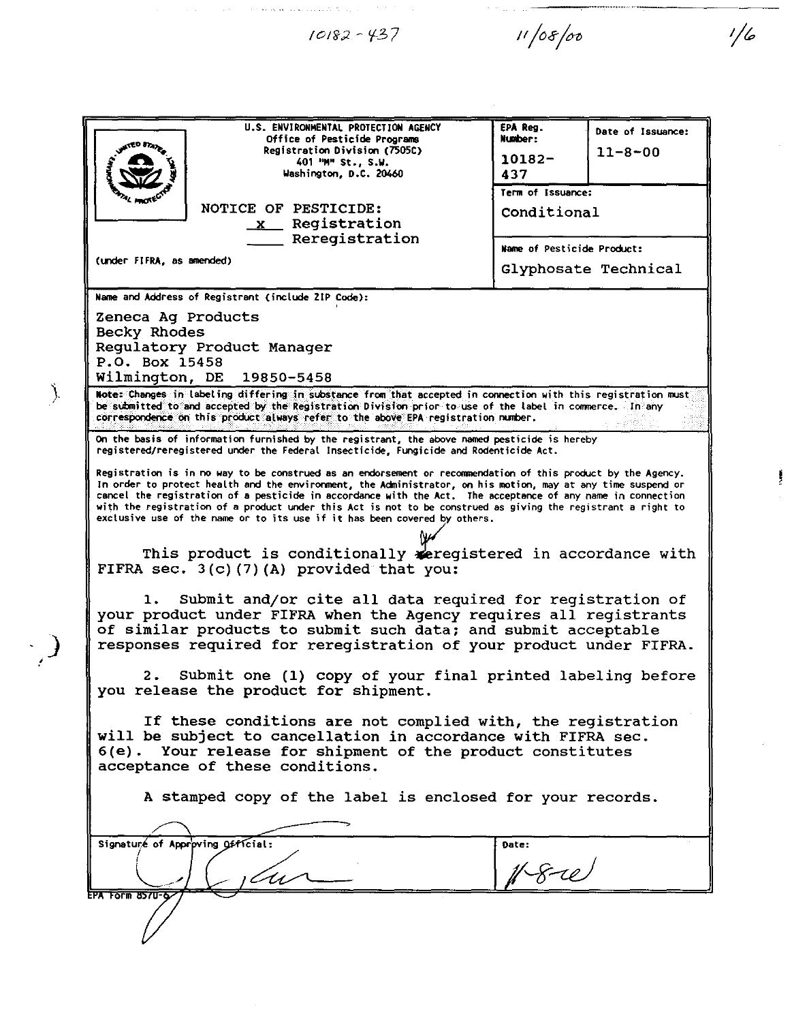$10182 - 437$ 

Ŷ.

 $\bigg)$ 

 $\cdot$  )

 $\mathcal{F}(\mathcal{F})$ 

 $11/08/00$ 

 $1/6$ 

 $\hat{\mathcal{E}}$ 

 $\sim$   $\sim$ 

|                                                                                                                                                                                                                                                                                                                                                                                                                                                                                                                                          | U.S. ENVIRONMENTAL PROTECTION AGENCY               | EPA Reg.                   |                   |  |
|------------------------------------------------------------------------------------------------------------------------------------------------------------------------------------------------------------------------------------------------------------------------------------------------------------------------------------------------------------------------------------------------------------------------------------------------------------------------------------------------------------------------------------------|----------------------------------------------------|----------------------------|-------------------|--|
|                                                                                                                                                                                                                                                                                                                                                                                                                                                                                                                                          | Office of Pesticide Programs                       | Number:                    | Date of Issuance: |  |
|                                                                                                                                                                                                                                                                                                                                                                                                                                                                                                                                          | Registration Division (7505C)<br>401 "M" St., S.W. | $10182 -$                  | $11 - 8 - 00$     |  |
|                                                                                                                                                                                                                                                                                                                                                                                                                                                                                                                                          | Washington, D.C. 20460                             | 437                        |                   |  |
|                                                                                                                                                                                                                                                                                                                                                                                                                                                                                                                                          |                                                    |                            | Term of Issuance: |  |
| NOTICE OF PESTICIDE:                                                                                                                                                                                                                                                                                                                                                                                                                                                                                                                     |                                                    | Conditional                |                   |  |
|                                                                                                                                                                                                                                                                                                                                                                                                                                                                                                                                          | x Registration                                     |                            |                   |  |
| Reregistration                                                                                                                                                                                                                                                                                                                                                                                                                                                                                                                           |                                                    | Name of Pesticide Product: |                   |  |
| (under FIFRA, as amended)                                                                                                                                                                                                                                                                                                                                                                                                                                                                                                                |                                                    | Glyphosate Technical       |                   |  |
|                                                                                                                                                                                                                                                                                                                                                                                                                                                                                                                                          |                                                    |                            |                   |  |
| Name and Address of Registrant (include ZIP Code):                                                                                                                                                                                                                                                                                                                                                                                                                                                                                       |                                                    |                            |                   |  |
| Zeneca Ag Products                                                                                                                                                                                                                                                                                                                                                                                                                                                                                                                       |                                                    |                            |                   |  |
| Becky Rhodes                                                                                                                                                                                                                                                                                                                                                                                                                                                                                                                             |                                                    |                            |                   |  |
| Regulatory Product Manager<br>P.O. Box 15458                                                                                                                                                                                                                                                                                                                                                                                                                                                                                             |                                                    |                            |                   |  |
| Wilmington, DE 19850-5458                                                                                                                                                                                                                                                                                                                                                                                                                                                                                                                |                                                    |                            |                   |  |
| Note: Changes in labeling differing in substance from that accepted in connection with this registration must                                                                                                                                                                                                                                                                                                                                                                                                                            |                                                    |                            |                   |  |
| be submitted to and accepted by the Registration Division prior to use of the label in commerce. In any<br>correspondence on this product always refer to the above EPA registration number.                                                                                                                                                                                                                                                                                                                                             |                                                    |                            |                   |  |
| On the basis of information furnished by the registrant, the above named pesticide is hereby<br>registered/reregistered under the Federal Insecticide, Fungicide and Rodenticide Act.                                                                                                                                                                                                                                                                                                                                                    |                                                    |                            |                   |  |
| Registration is in no way to be construed as an endorsement or recommendation of this product by the Agency.<br>In order to protect health and the environment, the Administrator, on his motion, may at any time suspend or<br>cancel the registration of a pesticide in accordance with the Act. The acceptance of any name in connection<br>with the registration of a product under this Act is not to be construed as giving the registrant a right to<br>exclusive use of the name or to its use if it has been covered by others. |                                                    |                            |                   |  |
|                                                                                                                                                                                                                                                                                                                                                                                                                                                                                                                                          |                                                    |                            |                   |  |
| This product is conditionally seregistered in accordance with<br>FIFRA sec. $3(c)$ (7) (A) provided that you:                                                                                                                                                                                                                                                                                                                                                                                                                            |                                                    |                            |                   |  |
| Submit and/or cite all data required for registration of<br>1.<br>your product under FIFRA when the Agency requires all registrants<br>of similar products to submit such data; and submit acceptable<br>responses required for reregistration of your product under FIFRA.                                                                                                                                                                                                                                                              |                                                    |                            |                   |  |
| Submit one (1) copy of your final printed labeling before<br>2.<br>you release the product for shipment.                                                                                                                                                                                                                                                                                                                                                                                                                                 |                                                    |                            |                   |  |
| If these conditions are not complied with, the registration<br>will be subject to cancellation in accordance with FIFRA sec.<br>6(e). Your release for shipment of the product constitutes<br>acceptance of these conditions.                                                                                                                                                                                                                                                                                                            |                                                    |                            |                   |  |
| A stamped copy of the label is enclosed for your records.                                                                                                                                                                                                                                                                                                                                                                                                                                                                                |                                                    |                            |                   |  |
|                                                                                                                                                                                                                                                                                                                                                                                                                                                                                                                                          |                                                    |                            |                   |  |
| Signature of Approving Official:                                                                                                                                                                                                                                                                                                                                                                                                                                                                                                         |                                                    | Date:                      |                   |  |
|                                                                                                                                                                                                                                                                                                                                                                                                                                                                                                                                          | .<br>11 -                                          |                            |                   |  |
| EPA Form 8570-62                                                                                                                                                                                                                                                                                                                                                                                                                                                                                                                         |                                                    |                            |                   |  |
|                                                                                                                                                                                                                                                                                                                                                                                                                                                                                                                                          |                                                    |                            |                   |  |

 $\hat{\mathcal{A}}$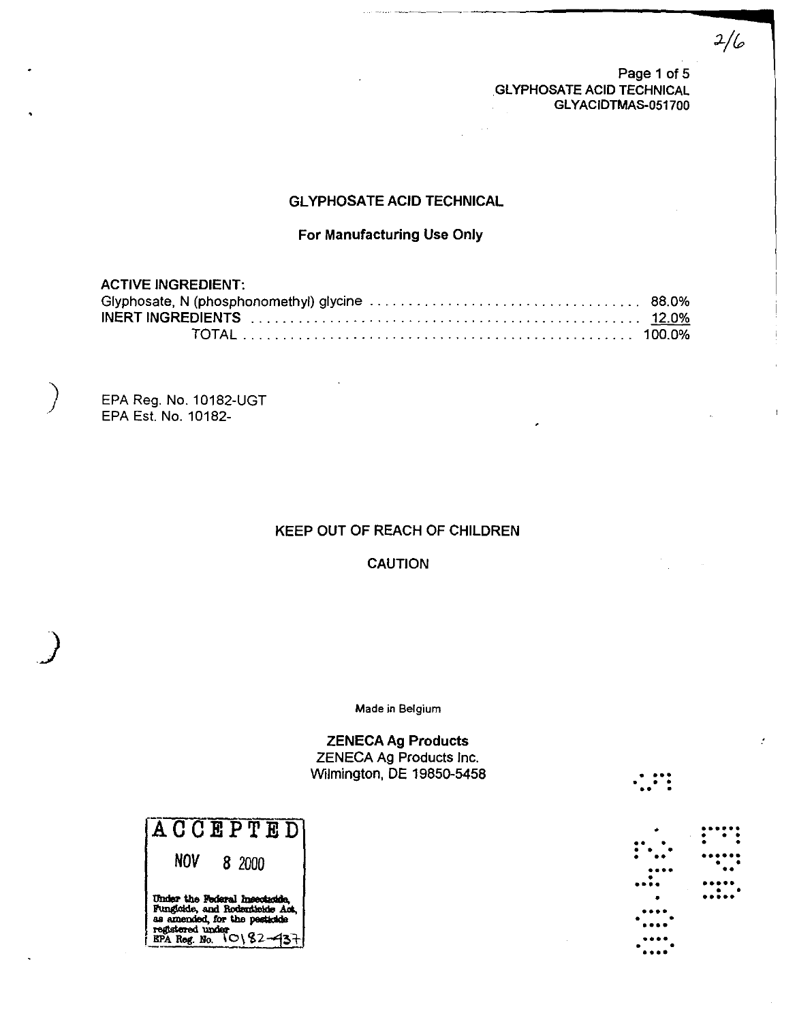Page 1 of 5 **GLYPHOSATE ACID TECHNICAL** GLYACIDTMAS-051700  $2/6$ 

 $\ddotsc$   $\ddotsc$ 

•  $\cdots$  ,  $\cdots$ **••••**  , **••••** ,

**.......**   $; \; \cdots;$ **••••••** , , " **•••••** , • **•••••** 

**••••**  • • **•••• ••••** , • **••••** 

# **GLYPHOSATE ACID TECHNICAL**

## For Manufacturing Use Only

# ACTIVE INGREDIENT:

EPA Reg. No. 10182-UGT EPA Est. No.1 0182-

 $\left( \frac{1}{2} \right)$ 

)

### KEEP OUT OF REACH OF CHILDREN

CAUTION

Made in Belgium

ZENECA Ag Products ZENECA Ag Products Inc. Wilmington, DE 19850-5458

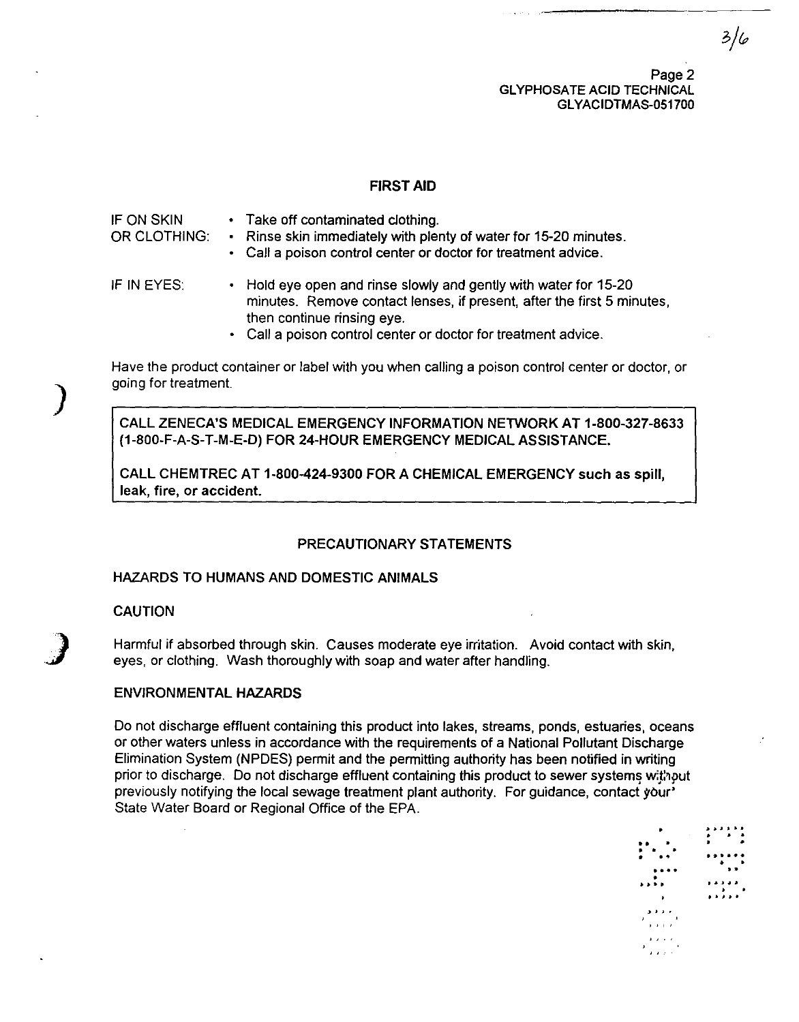Page 2 **GLYPHOSATE ACID TECHNICAL** GL YACIDTMAS-051700

### FIRST AID

IFON SKIN OR CLOTHING: IF IN EYES: • Take off contaminated clothing. Rinse skin immediately with plenty of water for 15-20 minutes. Call a poison control center or doctor for treatment advice. • Hold eye open and rinse slowly and gently with water for 15-20 minutes. Remove contact lenses, if present, after the first 5 minutes, then continue rinsing eye.

Call a poison control center or doctor for treatment advice.

Have the product container or label with you when calling a poison control center or doctor, or going for treatment.

CALL ZENECA'S MEDICAL EMERGENCY INFORMATION NETWORK AT 1-800-327-8633 (1-800-F-A-S-T-M-E-D) FOR 24-HOUR EMERGENCY MEDICAL ASSISTANCE.

CALL CHEMTREC AT 1-800-424-9300 FOR A CHEMICAL EMERGENCY such as spill, leak, fire, or accident.

#### PRECAUTIONARY STATEMENTS

## HAZARDS TO HUMANS AND DOMESTIC ANIMALS

### CAUTION

)

**)** 

Harmful if absorbed through skin. Causes moderate eye irritation. Avoid contact with skin, eyes, or clothing. Wash thoroughly with soap and water after handling.

#### ENVIRONMENTAL HAZARDS

Do not discharge effluent containing this product into lakes, streams, ponds, estuaries, oceans or other waters unless in accordance with the requirements of a National Pollutant Discharge Elimination System (NPDES) permit and the permitting authority has been notified in writing prior to discharge. Do not discharge effluent containing this product to sewer systems without previously notifying the local sewage treatment plant authority. For guidance, contact your' State Water Board or Regional Office of the EPA.

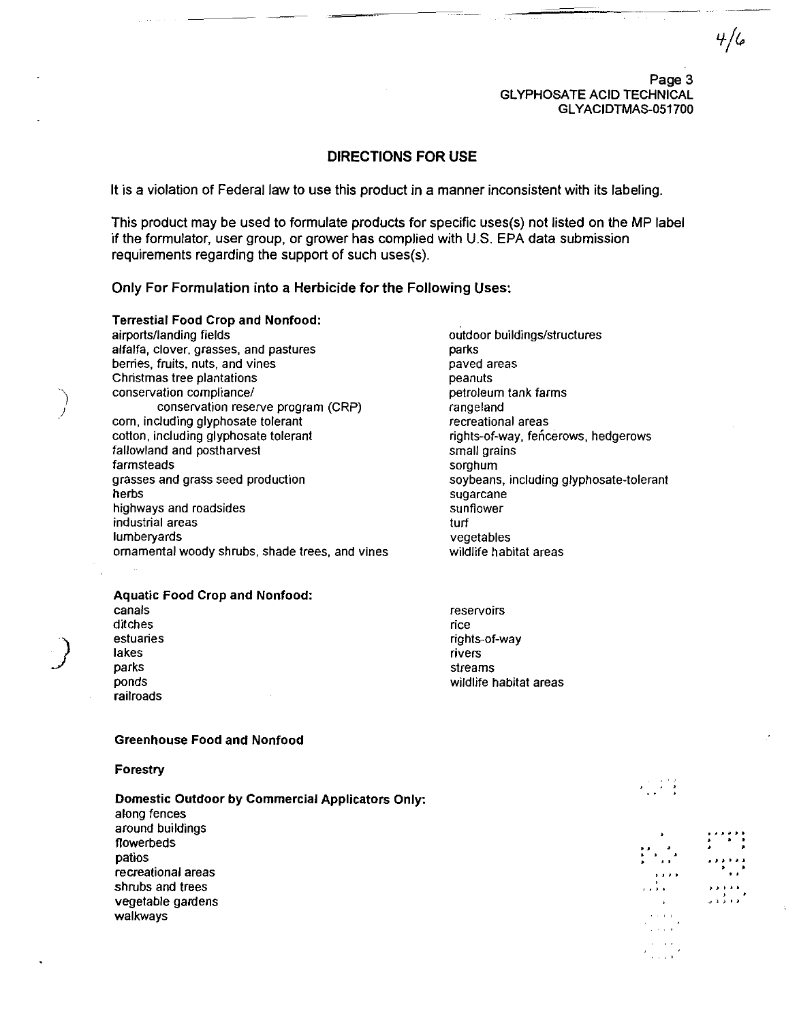Page 3 **GLYPHOSATE ACID TECHNICAL** GLYACIDTMAS-051700  $4/6$ 

### DIRECTIONS FOR USE

It is a violation of Federal law to use this product in a manner inconsistent with its labeling.

This product may be used to formulate products for specific uses(s) not listed on the MP label if the formulator, user group, or grower has complied with U.S. EPA data submission requirements regarding the support of such uses(s).

#### Only For Formulation into a Herbicide for the Following Uses:

Terrestial Food Crop and Nonfood: airports/landing fields alfalfa, clover, grasses, and pastures berries, fruits, nuts, and vines Christmas tree plantations conservation compliance/ conservation reserve program (CRP) corn, including glyphosate tolerant cotton, including glyphosate tolerant fallowland and postharvest farmsteads grasses and grass seed production herbs highways and roadsides industrial areas lumberyards ornamental woody shrubs, shade trees, and vines

### Aquatic Food Crop and Nonfood:

canals ditches estuaries lakes parks ponds railroads

) /

)<br>)

parks paved areas peanuts petroleum tank farms rangeland recreational areas rights-of-way, fencerows, hedgerows small grains sorghum soybeans, including glyphosate-tolerant sugarcane sunflower turf vegetables wildlife habitat areas

outdoor buildings/structures

reservoirs rice rights-of-way rivers streams wildlife habitat areas

#### Greenhouse Food and Nonfood

#### Forestry

Domestic Outdoor by Commercial Applicators Only: along fences around buildings flowerbeds patios recreational areas shrubs and trees vegetable gardens walkways

" , ,

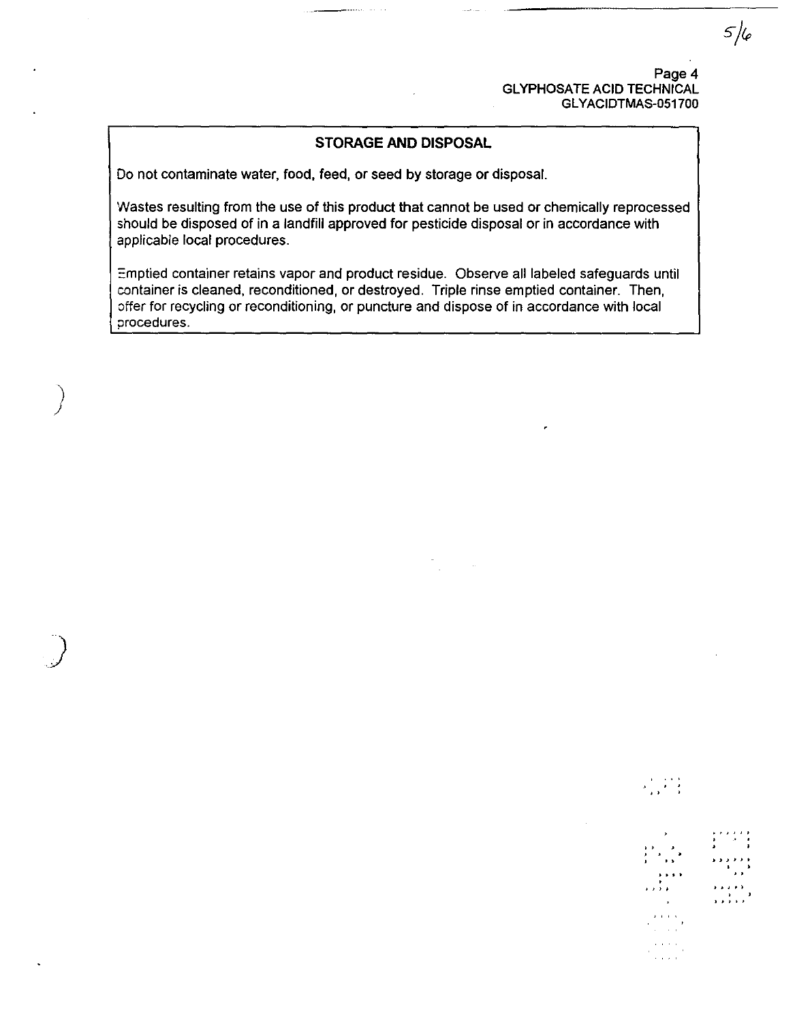Page 4 GLYPHOSATE ACID TECHNICAL GLYACIDTMAS-051700

 $\begin{array}{c} \mathcal{A}_1=\mathcal{A}_1+\mathcal{A}_2\\ \mathcal{A}_2=\mathcal{A}_2+\mathcal{A}_2\\ \mathcal{A}_3=\mathcal{A}_3 \end{array}$ 

, ,  $, '$ ,

. . . . ,

• .. ~ ... , . ,,)' .... )

. ,

,

# **STORAGE AND DISPOSAL**

Do not contaminate water, food, feed, or seed by storage or disposal.

)

)<br>)

Wastes resulting from the use of this product that cannot be used or chemically reprocessed should be disposed of in a landfill approved for pesticide disposal or in accordance with applicable local procedures.

Emptied container retains vapor and product residue. Observe all labeled safeguards until container is cleaned, reconditioned, or destroyed. Triple rinse emptied container. Then, offer for recycling or reconditioning, or puncture and dispose of in accordance with local procedures.